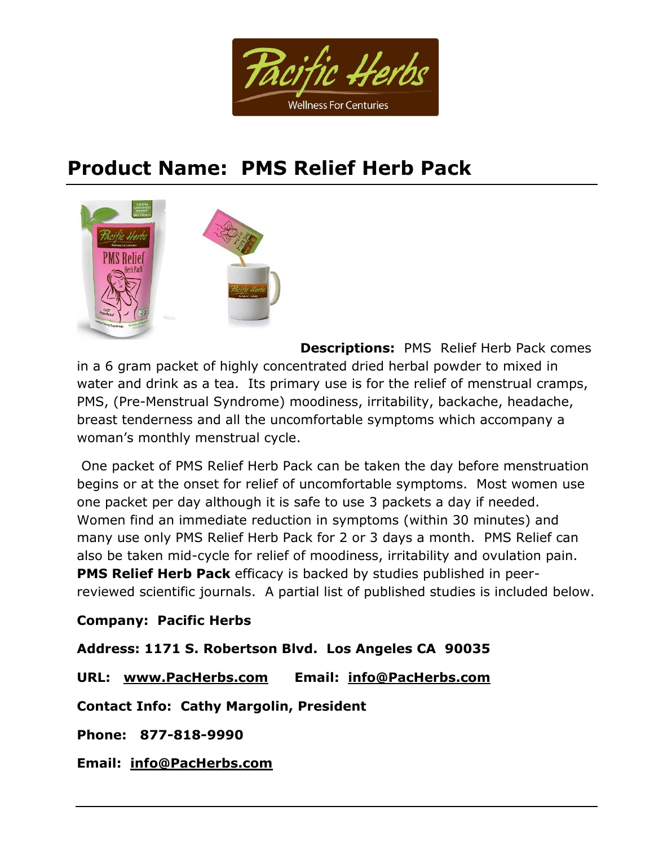

# **Product Name: PMS Relief Herb Pack**



**Descriptions:** PMS Relief Herb Pack comes in a 6 gram packet of highly concentrated dried herbal powder to mixed in water and drink as a tea. Its primary use is for the relief of menstrual cramps, PMS, (Pre-Menstrual Syndrome) moodiness, irritability, backache, headache, breast tenderness and all the uncomfortable symptoms which accompany a woman's monthly menstrual cycle.

One packet of PMS Relief Herb Pack can be taken the day before menstruation begins or at the onset for relief of uncomfortable symptoms. Most women use one packet per day although it is safe to use 3 packets a day if needed. Women find an immediate reduction in symptoms (within 30 minutes) and many use only PMS Relief Herb Pack for 2 or 3 days a month. PMS Relief can also be taken mid-cycle for relief of moodiness, irritability and ovulation pain. **PMS Relief Herb Pack** efficacy is backed by studies published in peerreviewed scientific journals. A partial list of published studies is included below.

**Company: Pacific Herbs** 

**Address: 1171 S. Robertson Blvd. Los Angeles CA 90035 URL: [www.PacHerbs.com](http://www.pacherbs.com/) Email: [info@PacHerbs.com](mailto:info@PacHerbs.com) Contact Info: Cathy Margolin, President Phone: 877-818-9990 Email: [info@PacHerbs.com](mailto:info@PacHerbs.com)**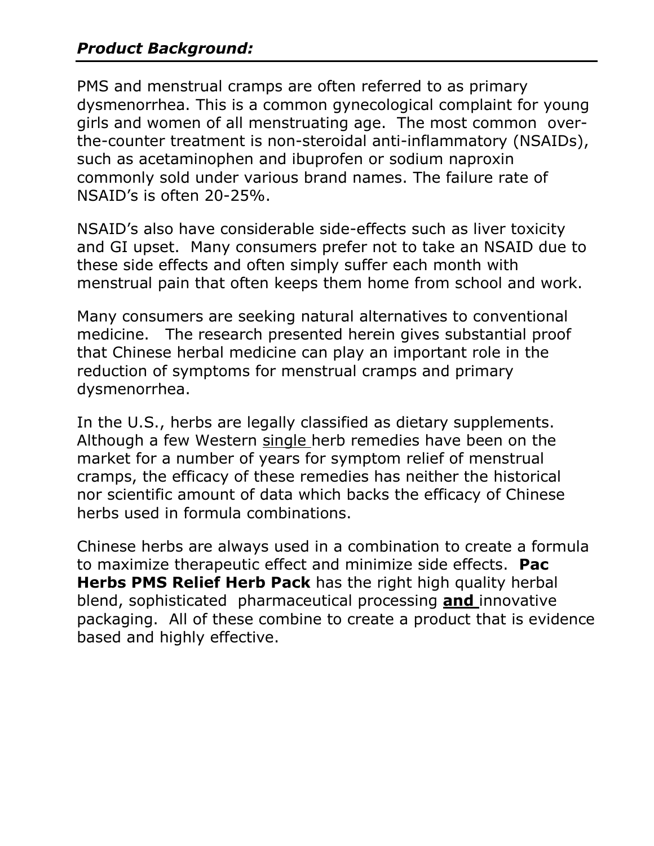### *Product Background:*

PMS and menstrual cramps are often referred to as primary dysmenorrhea. This is a common gynecological complaint for young girls and women of all menstruating age. The most common overthe-counter treatment is non-steroidal anti-inflammatory (NSAIDs), such as acetaminophen and ibuprofen or sodium naproxin commonly sold under various brand names. The failure rate of NSAID's is often 20-25%.

NSAID's also have considerable side-effects such as liver toxicity and GI upset. Many consumers prefer not to take an NSAID due to these side effects and often simply suffer each month with menstrual pain that often keeps them home from school and work.

Many consumers are seeking natural alternatives to conventional medicine. The research presented herein gives substantial proof that Chinese herbal medicine can play an important role in the reduction of symptoms for menstrual cramps and primary dysmenorrhea.

In the U.S., herbs are legally classified as dietary supplements. Although a few Western single herb remedies have been on the market for a number of years for symptom relief of menstrual cramps, the efficacy of these remedies has neither the historical nor scientific amount of data which backs the efficacy of Chinese herbs used in formula combinations.

Chinese herbs are always used in a combination to create a formula to maximize therapeutic effect and minimize side effects. **Pac Herbs PMS Relief Herb Pack** has the right high quality herbal blend, sophisticated pharmaceutical processing **and** innovative packaging. All of these combine to create a product that is evidence based and highly effective.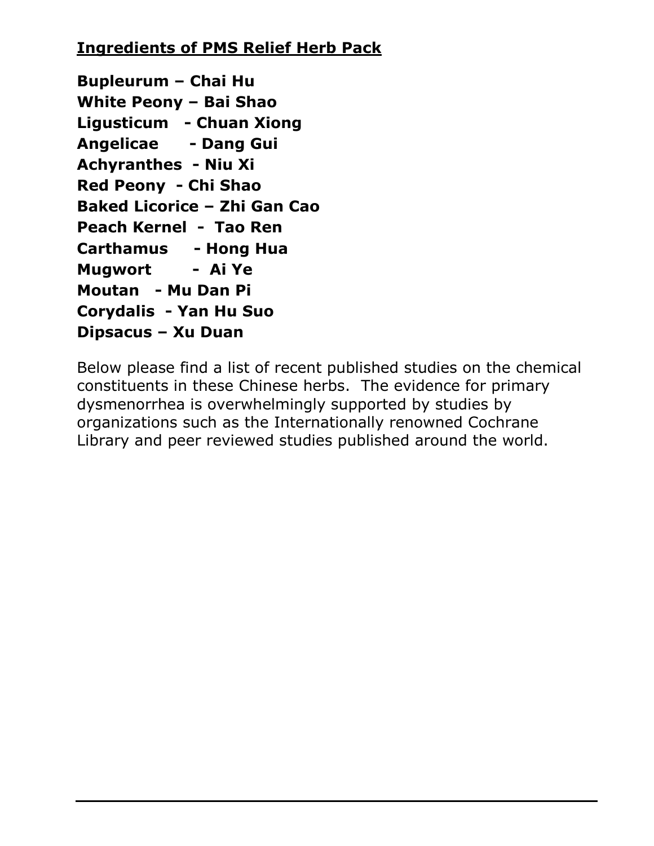## **Ingredients of PMS Relief Herb Pack**

**Bupleurum – Chai Hu White Peony – Bai Shao Ligusticum - Chuan Xiong Angelicae - Dang Gui Achyranthes - Niu Xi Red Peony - Chi Shao Baked Licorice – Zhi Gan Cao Peach Kernel - Tao Ren Carthamus - Hong Hua Mugwort - Ai Ye Moutan - Mu Dan Pi Corydalis - Yan Hu Suo Dipsacus – Xu Duan**

Below please find a list of recent published studies on the chemical constituents in these Chinese herbs. The evidence for primary dysmenorrhea is overwhelmingly supported by studies by organizations such as the Internationally renowned Cochrane Library and peer reviewed studies published around the world.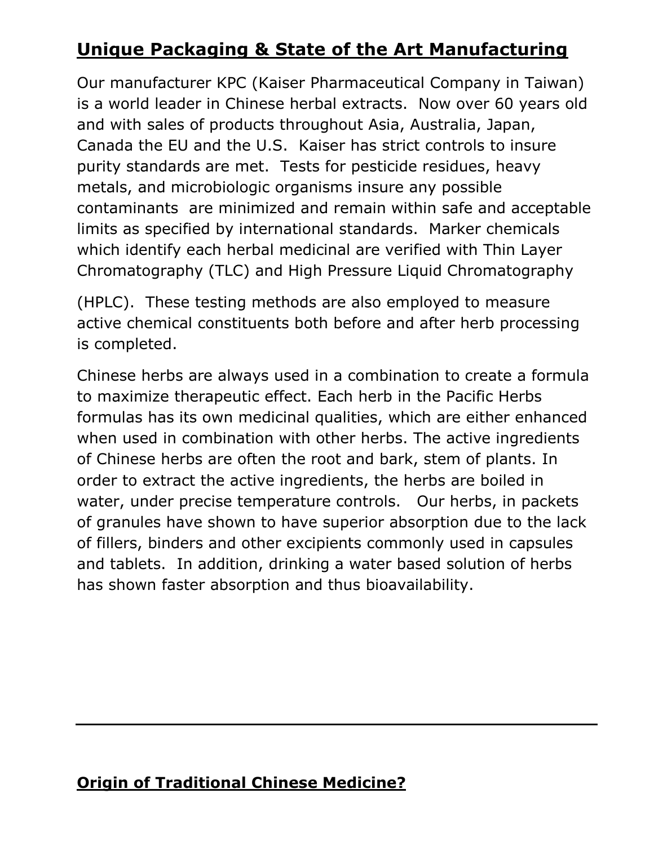# **Unique Packaging & State of the Art Manufacturing**

Our manufacturer KPC (Kaiser Pharmaceutical Company in Taiwan) is a world leader in Chinese herbal extracts. Now over 60 years old and with sales of products throughout Asia, Australia, Japan, Canada the EU and the U.S. Kaiser has strict controls to insure purity standards are met. Tests for pesticide residues, heavy metals, and microbiologic organisms insure any possible contaminants are minimized and remain within safe and acceptable limits as specified by international standards. Marker chemicals which identify each herbal medicinal are verified with Thin Layer Chromatography (TLC) and High Pressure Liquid Chromatography

(HPLC). These testing methods are also employed to measure active chemical constituents both before and after herb processing is completed.

Chinese herbs are always used in a combination to create a formula to maximize therapeutic effect. Each herb in the Pacific Herbs formulas has its own medicinal qualities, which are either enhanced when used in combination with other herbs. The active ingredients of Chinese herbs are often the root and bark, stem of plants. In order to extract the active ingredients, the herbs are boiled in water, under precise temperature controls. Our herbs, in packets of granules have shown to have superior absorption due to the lack of fillers, binders and other excipients commonly used in capsules and tablets. In addition, drinking a water based solution of herbs has shown faster absorption and thus bioavailability.

## **Origin of Traditional Chinese Medicine?**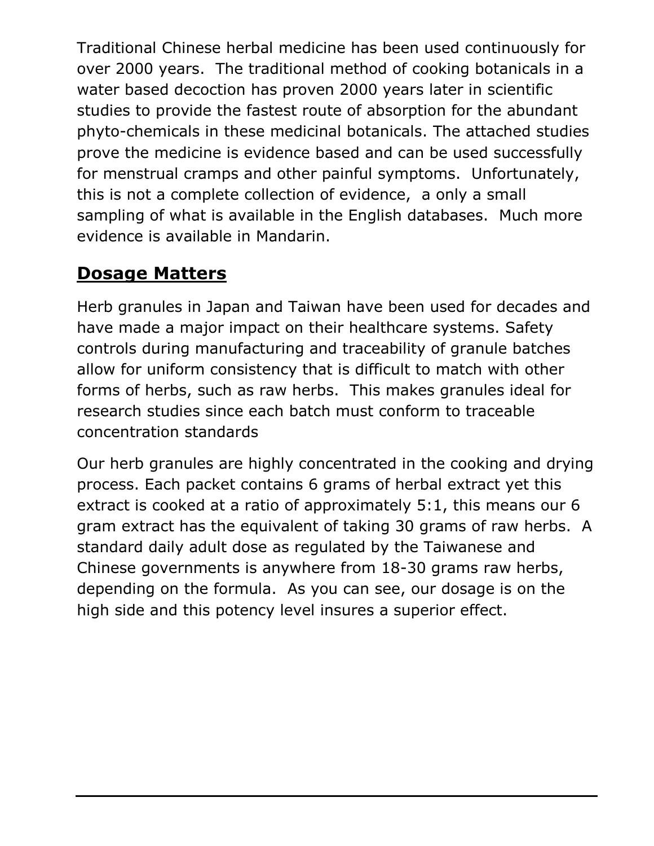Traditional Chinese herbal medicine has been used continuously for over 2000 years. The traditional method of cooking botanicals in a water based decoction has proven 2000 years later in scientific studies to provide the fastest route of absorption for the abundant phyto-chemicals in these medicinal botanicals. The attached studies prove the medicine is evidence based and can be used successfully for menstrual cramps and other painful symptoms. Unfortunately, this is not a complete collection of evidence, a only a small sampling of what is available in the English databases. Much more evidence is available in Mandarin.

# **Dosage Matters**

Herb granules in Japan and Taiwan have been used for decades and have made a major impact on their healthcare systems. Safety controls during manufacturing and traceability of granule batches allow for uniform consistency that is difficult to match with other forms of herbs, such as raw herbs. This makes granules ideal for research studies since each batch must conform to traceable concentration standards

Our herb granules are highly concentrated in the cooking and drying process. Each packet contains 6 grams of herbal extract yet this extract is cooked at a ratio of approximately 5:1, this means our 6 gram extract has the equivalent of taking 30 grams of raw herbs. A standard daily adult dose as regulated by the Taiwanese and Chinese governments is anywhere from 18-30 grams raw herbs, depending on the formula. As you can see, our dosage is on the high side and this potency level insures a superior effect.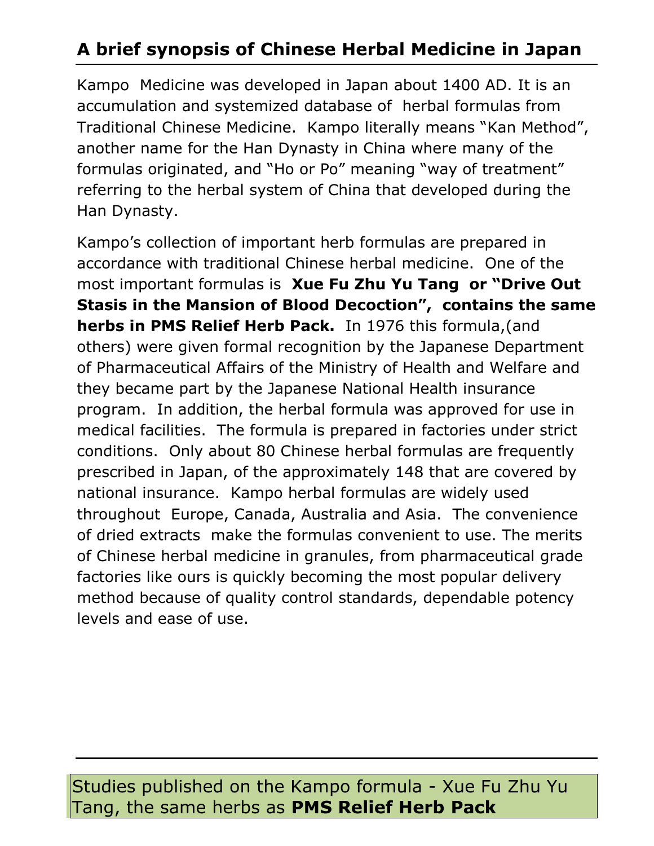# **A brief synopsis of Chinese Herbal Medicine in Japan**

Kampo Medicine was developed in Japan about 1400 AD. It is an accumulation and systemized database of herbal formulas from Traditional Chinese Medicine. Kampo literally means "Kan Method", another name for the Han Dynasty in China where many of the formulas originated, and "Ho or Po" meaning "way of treatment" referring to the herbal system of China that developed during the Han Dynasty.

Kampo's collection of important herb formulas are prepared in accordance with traditional Chinese herbal medicine. One of the most important formulas is **Xue Fu Zhu Yu Tang or "Drive Out Stasis in the Mansion of Blood Decoction", contains the same herbs in PMS Relief Herb Pack.** In 1976 this formula,(and others) were given formal recognition by the Japanese Department of Pharmaceutical Affairs of the Ministry of Health and Welfare and they became part by the Japanese National Health insurance program. In addition, the herbal formula was approved for use in medical facilities. The formula is prepared in factories under strict conditions. Only about 80 Chinese herbal formulas are frequently prescribed in Japan, of the approximately 148 that are covered by national insurance. Kampo herbal formulas are widely used throughout Europe, Canada, Australia and Asia. The convenience of dried extracts make the formulas convenient to use. The merits of Chinese herbal medicine in granules, from pharmaceutical grade factories like ours is quickly becoming the most popular delivery method because of quality control standards, dependable potency levels and ease of use.

Studies published on the Kampo formula - Xue Fu Zhu Yu Tang, the same herbs as **PMS Relief Herb Pack**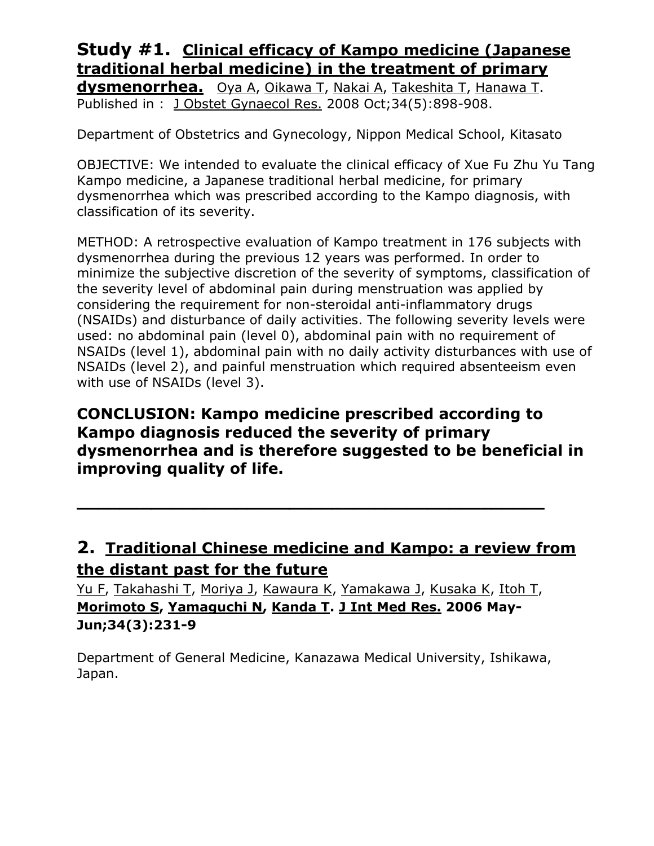## **Study #1. Clinical efficacy of Kampo medicine (Japanese traditional herbal medicine) in the treatment of primary**

**dysmenorrhea.** [Oya A,](http://www.ncbi.nlm.nih.gov/pubmed?term=%22Oya%20A%22%5BAuthor%5D) [Oikawa T,](http://www.ncbi.nlm.nih.gov/pubmed?term=%22Oikawa%20T%22%5BAuthor%5D) [Nakai A,](http://www.ncbi.nlm.nih.gov/pubmed?term=%22Nakai%20A%22%5BAuthor%5D) [Takeshita T,](http://www.ncbi.nlm.nih.gov/pubmed?term=%22Takeshita%20T%22%5BAuthor%5D) [Hanawa T.](http://www.ncbi.nlm.nih.gov/pubmed?term=%22Hanawa%20T%22%5BAuthor%5D) Published in : [J Obstet Gynaecol Res.](javascript:AL_get(this,%20) 2008 Oct;34(5):898-908.

Department of Obstetrics and Gynecology, Nippon Medical School, Kitasato

OBJECTIVE: We intended to evaluate the clinical efficacy of Xue Fu Zhu Yu Tang Kampo medicine, a Japanese traditional herbal medicine, for primary dysmenorrhea which was prescribed according to the Kampo diagnosis, with classification of its severity.

METHOD: A retrospective evaluation of Kampo treatment in 176 subjects with dysmenorrhea during the previous 12 years was performed. In order to minimize the subjective discretion of the severity of symptoms, classification of the severity level of abdominal pain during menstruation was applied by considering the requirement for non-steroidal anti-inflammatory drugs (NSAIDs) and disturbance of daily activities. The following severity levels were used: no abdominal pain (level 0), abdominal pain with no requirement of NSAIDs (level 1), abdominal pain with no daily activity disturbances with use of NSAIDs (level 2), and painful menstruation which required absenteeism even with use of NSAIDs (level 3).

**CONCLUSION: Kampo medicine prescribed according to Kampo diagnosis reduced the severity of primary dysmenorrhea and is therefore suggested to be beneficial in improving quality of life.** 

### **2. Traditional Chinese medicine and Kampo: a review from the distant past for the future**

[Yu F,](http://www.ncbi.nlm.nih.gov/pubmed?term=%22Yu%20F%22%5BAuthor%5D) [Takahashi T,](http://www.ncbi.nlm.nih.gov/pubmed?term=%22Takahashi%20T%22%5BAuthor%5D) [Moriya J,](http://www.ncbi.nlm.nih.gov/pubmed?term=%22Moriya%20J%22%5BAuthor%5D) [Kawaura K,](http://www.ncbi.nlm.nih.gov/pubmed?term=%22Kawaura%20K%22%5BAuthor%5D) [Yamakawa J,](http://www.ncbi.nlm.nih.gov/pubmed?term=%22Yamakawa%20J%22%5BAuthor%5D) [Kusaka K,](http://www.ncbi.nlm.nih.gov/pubmed?term=%22Kusaka%20K%22%5BAuthor%5D) [Itoh T,](http://www.ncbi.nlm.nih.gov/pubmed?term=%22Itoh%20T%22%5BAuthor%5D) **[Morimoto S,](http://www.ncbi.nlm.nih.gov/pubmed?term=%22Morimoto%20S%22%5BAuthor%5D) [Yamaguchi N,](http://www.ncbi.nlm.nih.gov/pubmed?term=%22Yamaguchi%20N%22%5BAuthor%5D) [Kanda T.](http://www.ncbi.nlm.nih.gov/pubmed?term=%22Kanda%20T%22%5BAuthor%5D) [J Int Med Res.](javascript:AL_get(this,%20) 2006 May-Jun;34(3):231-9**

**\_\_\_\_\_\_\_\_\_\_\_\_\_\_\_\_\_\_\_\_\_\_\_\_\_\_\_\_\_\_\_\_\_\_\_\_\_\_\_\_\_\_\_\_**

Department of General Medicine, Kanazawa Medical University, Ishikawa, Japan.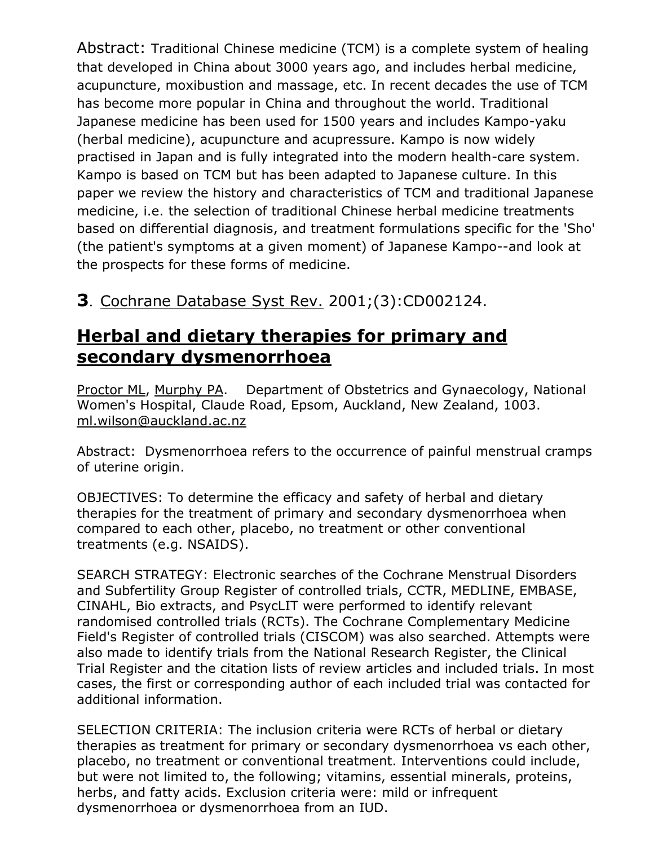Abstract: Traditional Chinese medicine (TCM) is a complete system of healing that developed in China about 3000 years ago, and includes herbal medicine, acupuncture, moxibustion and massage, etc. In recent decades the use of TCM has become more popular in China and throughout the world. Traditional Japanese medicine has been used for 1500 years and includes Kampo-yaku (herbal medicine), acupuncture and acupressure. Kampo is now widely practised in Japan and is fully integrated into the modern health-care system. Kampo is based on TCM but has been adapted to Japanese culture. In this paper we review the history and characteristics of TCM and traditional Japanese medicine, i.e. the selection of traditional Chinese herbal medicine treatments based on differential diagnosis, and treatment formulations specific for the 'Sho' (the patient's symptoms at a given moment) of Japanese Kampo--and look at the prospects for these forms of medicine.

# **3**. [Cochrane Database Syst Rev.](javascript:AL_get(this,%20) 2001;(3):CD002124.

## **Herbal and dietary therapies for primary and secondary dysmenorrhoea**

[Proctor ML,](http://www.ncbi.nlm.nih.gov/pubmed?term=%22Proctor%20ML%22%5BAuthor%5D) [Murphy PA.](http://www.ncbi.nlm.nih.gov/pubmed?term=%22Murphy%20PA%22%5BAuthor%5D) Department of Obstetrics and Gynaecology, National Women's Hospital, Claude Road, Epsom, Auckland, New Zealand, 1003. [ml.wilson@auckland.ac.nz](mailto:ml.wilson@auckland.ac.nz)

Abstract: Dysmenorrhoea refers to the occurrence of painful menstrual cramps of uterine origin.

OBJECTIVES: To determine the efficacy and safety of herbal and dietary therapies for the treatment of primary and secondary dysmenorrhoea when compared to each other, placebo, no treatment or other conventional treatments (e.g. NSAIDS).

SEARCH STRATEGY: Electronic searches of the Cochrane Menstrual Disorders and Subfertility Group Register of controlled trials, CCTR, MEDLINE, EMBASE, CINAHL, Bio extracts, and PsycLIT were performed to identify relevant randomised controlled trials (RCTs). The Cochrane Complementary Medicine Field's Register of controlled trials (CISCOM) was also searched. Attempts were also made to identify trials from the National Research Register, the Clinical Trial Register and the citation lists of review articles and included trials. In most cases, the first or corresponding author of each included trial was contacted for additional information.

SELECTION CRITERIA: The inclusion criteria were RCTs of herbal or dietary therapies as treatment for primary or secondary dysmenorrhoea vs each other, placebo, no treatment or conventional treatment. Interventions could include, but were not limited to, the following; vitamins, essential minerals, proteins, herbs, and fatty acids. Exclusion criteria were: mild or infrequent dysmenorrhoea or dysmenorrhoea from an IUD.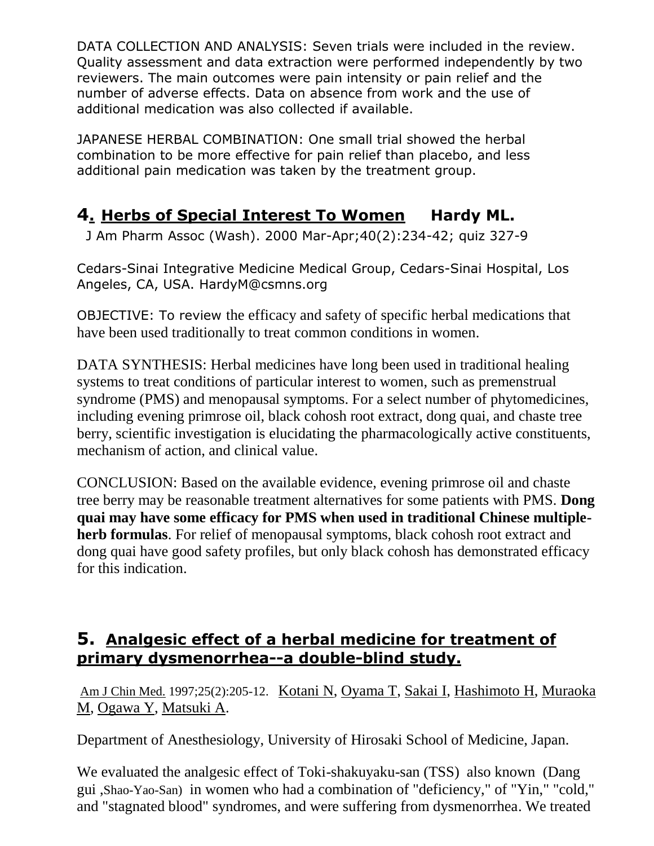DATA COLLECTION AND ANALYSIS: Seven trials were included in the review. Quality assessment and data extraction were performed independently by two reviewers. The main outcomes were pain intensity or pain relief and the number of adverse effects. Data on absence from work and the use of additional medication was also collected if available.

JAPANESE HERBAL COMBINATION: One small trial showed the herbal combination to be more effective for pain relief than placebo, and less additional pain medication was taken by the treatment group.

## **4. Herbs of Special Interest To Women [Hardy ML.](http://www.ncbi.nlm.nih.gov/pubmed?term=%22Hardy%20ML%22%5BAuthor%5D)**

[J Am Pharm Assoc \(Wash\).](javascript:AL_get(this,%20) 2000 Mar-Apr;40(2):234-42; quiz 327-9

Cedars-Sinai Integrative Medicine Medical Group, Cedars-Sinai Hospital, Los Angeles, CA, USA. HardyM@csmns.org

OBJECTIVE: To review the efficacy and safety of specific herbal medications that have been used traditionally to treat common conditions in women.

DATA SYNTHESIS: Herbal medicines have long been used in traditional healing systems to treat conditions of particular interest to women, such as premenstrual syndrome (PMS) and menopausal symptoms. For a select number of phytomedicines, including evening primrose oil, black cohosh root extract, dong quai, and chaste tree berry, scientific investigation is elucidating the pharmacologically active constituents, mechanism of action, and clinical value.

CONCLUSION: Based on the available evidence, evening primrose oil and chaste tree berry may be reasonable treatment alternatives for some patients with PMS. **Dong quai may have some efficacy for PMS when used in traditional Chinese multipleherb formulas**. For relief of menopausal symptoms, black cohosh root extract and dong quai have good safety profiles, but only black cohosh has demonstrated efficacy for this indication.

## **5. Analgesic effect of a herbal medicine for treatment of primary dysmenorrhea--a double-blind study.**

[Am J Chin Med.](javascript:AL_get(this,%20) 1997;25(2):205-12. [Kotani N,](http://www.ncbi.nlm.nih.gov/pubmed?term=%22Kotani%20N%22%5BAuthor%5D) [Oyama T,](http://www.ncbi.nlm.nih.gov/pubmed?term=%22Oyama%20T%22%5BAuthor%5D) [Sakai I,](http://www.ncbi.nlm.nih.gov/pubmed?term=%22Sakai%20I%22%5BAuthor%5D) [Hashimoto H,](http://www.ncbi.nlm.nih.gov/pubmed?term=%22Hashimoto%20H%22%5BAuthor%5D) [Muraoka](http://www.ncbi.nlm.nih.gov/pubmed?term=%22Muraoka%20M%22%5BAuthor%5D)  [M,](http://www.ncbi.nlm.nih.gov/pubmed?term=%22Muraoka%20M%22%5BAuthor%5D) [Ogawa Y,](http://www.ncbi.nlm.nih.gov/pubmed?term=%22Ogawa%20Y%22%5BAuthor%5D) [Matsuki A.](http://www.ncbi.nlm.nih.gov/pubmed?term=%22Matsuki%20A%22%5BAuthor%5D)

Department of Anesthesiology, University of Hirosaki School of Medicine, Japan.

We evaluated the analgesic effect of Toki-shakuyaku-san (TSS) also known (Dang gui ,Shao-Yao-San) in women who had a combination of "deficiency," of "Yin," "cold," and "stagnated blood" syndromes, and were suffering from dysmenorrhea. We treated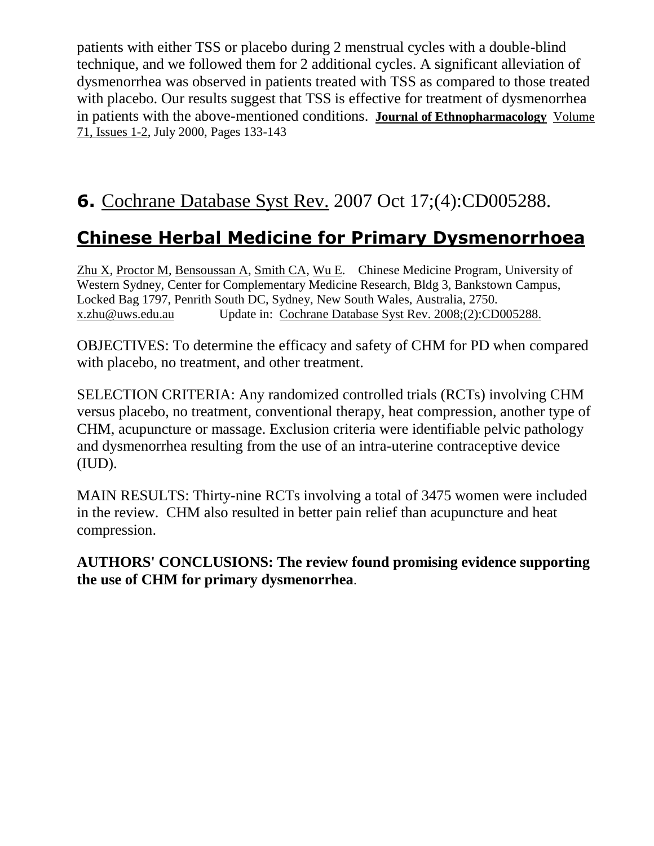patients with either TSS or placebo during 2 menstrual cycles with a double-blind technique, and we followed them for 2 additional cycles. A significant alleviation of dysmenorrhea was observed in patients treated with TSS as compared to those treated with placebo. Our results suggest that TSS is effective for treatment of dysmenorrhea in patients with the above-mentioned conditions. **[Journal of Ethnopharmacology](http://www.sciencedirect.com/science/journal/03788741)** [Volume](http://www.sciencedirect.com/science?_ob=PublicationURL&_tockey=%23TOC%235084%232000%23999289998%23203245%23FLA%23&_cdi=5084&_pubType=J&view=c&_auth=y&_acct=C000050221&_version=1&_urlVersion=0&_userid=10&md5=bbefcffaef2a4e4673011f16d805a006)  [71, Issues 1-2,](http://www.sciencedirect.com/science?_ob=PublicationURL&_tockey=%23TOC%235084%232000%23999289998%23203245%23FLA%23&_cdi=5084&_pubType=J&view=c&_auth=y&_acct=C000050221&_version=1&_urlVersion=0&_userid=10&md5=bbefcffaef2a4e4673011f16d805a006) July 2000, Pages 133-143

# **6.** [Cochrane Database Syst Rev.](javascript:AL_get(this,%20) 2007 Oct 17;(4):CD005288.

# **Chinese Herbal Medicine for Primary Dysmenorrhoea**

[Zhu X,](http://www.ncbi.nlm.nih.gov/pubmed?term=%22Zhu%20X%22%5BAuthor%5D) [Proctor M,](http://www.ncbi.nlm.nih.gov/pubmed?term=%22Proctor%20M%22%5BAuthor%5D) [Bensoussan A,](http://www.ncbi.nlm.nih.gov/pubmed?term=%22Bensoussan%20A%22%5BAuthor%5D) [Smith CA,](http://www.ncbi.nlm.nih.gov/pubmed?term=%22Smith%20CA%22%5BAuthor%5D) [Wu E.](http://www.ncbi.nlm.nih.gov/pubmed?term=%22Wu%20E%22%5BAuthor%5D) Chinese Medicine Program, University of Western Sydney, Center for Complementary Medicine Research, Bldg 3, Bankstown Campus, Locked Bag 1797, Penrith South DC, Sydney, New South Wales, Australia, 2750. [x.zhu@uws.edu.au](mailto:x.zhu@uws.edu.au) Update in: [Cochrane Database Syst Rev. 2008;\(2\):CD005288.](http://www.ncbi.nlm.nih.gov/pubmed/18425916) 

OBJECTIVES: To determine the efficacy and safety of CHM for PD when compared with placebo, no treatment, and other treatment.

SELECTION CRITERIA: Any randomized controlled trials (RCTs) involving CHM versus placebo, no treatment, conventional therapy, heat compression, another type of CHM, acupuncture or massage. Exclusion criteria were identifiable pelvic pathology and dysmenorrhea resulting from the use of an intra-uterine contraceptive device (IUD).

MAIN RESULTS: Thirty-nine RCTs involving a total of 3475 women were included in the review. CHM also resulted in better pain relief than acupuncture and heat compression.

**AUTHORS' CONCLUSIONS: The review found promising evidence supporting the use of CHM for primary dysmenorrhea**.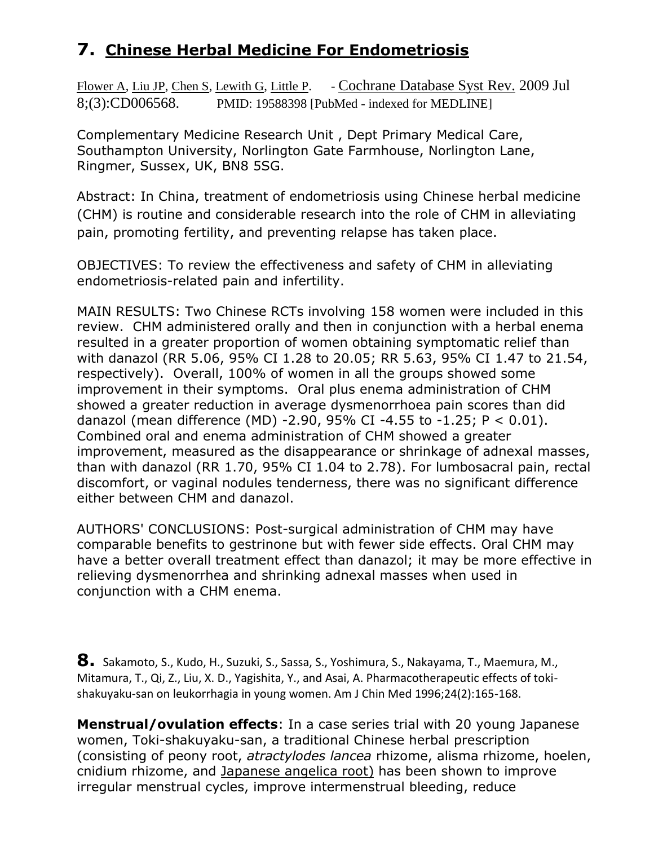## **7. Chinese Herbal Medicine For Endometriosis**

[Flower A,](http://www.ncbi.nlm.nih.gov/pubmed?term=%22Flower%20A%22%5BAuthor%5D) [Liu JP,](http://www.ncbi.nlm.nih.gov/pubmed?term=%22Liu%20JP%22%5BAuthor%5D) [Chen S,](http://www.ncbi.nlm.nih.gov/pubmed?term=%22Chen%20S%22%5BAuthor%5D) [Lewith G,](http://www.ncbi.nlm.nih.gov/pubmed?term=%22Lewith%20G%22%5BAuthor%5D) [Little P.](http://www.ncbi.nlm.nih.gov/pubmed?term=%22Little%20P%22%5BAuthor%5D) - [Cochrane Database Syst Rev.](javascript:AL_get(this,%20) 2009 Jul 8;(3):CD006568. PMID: 19588398 [PubMed - indexed for MEDLINE]

Complementary Medicine Research Unit , Dept Primary Medical Care, Southampton University, Norlington Gate Farmhouse, Norlington Lane, Ringmer, Sussex, UK, BN8 5SG.

Abstract: In China, treatment of endometriosis using Chinese herbal medicine (CHM) is routine and considerable research into the role of CHM in alleviating pain, promoting fertility, and preventing relapse has taken place.

OBJECTIVES: To review the effectiveness and safety of CHM in alleviating endometriosis-related pain and infertility.

MAIN RESULTS: Two Chinese RCTs involving 158 women were included in this review. CHM administered orally and then in conjunction with a herbal enema resulted in a greater proportion of women obtaining symptomatic relief than with danazol (RR 5.06, 95% CI 1.28 to 20.05; RR 5.63, 95% CI 1.47 to 21.54, respectively). Overall, 100% of women in all the groups showed some improvement in their symptoms. Oral plus enema administration of CHM showed a greater reduction in average dysmenorrhoea pain scores than did danazol (mean difference (MD) -2.90, 95% CI -4.55 to -1.25; P < 0.01). Combined oral and enema administration of CHM showed a greater improvement, measured as the disappearance or shrinkage of adnexal masses, than with danazol (RR 1.70, 95% CI 1.04 to 2.78). For lumbosacral pain, rectal discomfort, or vaginal nodules tenderness, there was no significant difference either between CHM and danazol.

AUTHORS' CONCLUSIONS: Post-surgical administration of CHM may have comparable benefits to gestrinone but with fewer side effects. Oral CHM may have a better overall treatment effect than danazol; it may be more effective in relieving dysmenorrhea and shrinking adnexal masses when used in conjunction with a CHM enema.

**8.** Sakamoto, S., Kudo, H., Suzuki, S., Sassa, S., Yoshimura, S., Nakayama, T., Maemura, M., Mitamura, T., Qi, Z., Liu, X. D., Yagishita, Y., and Asai, A. Pharmacotherapeutic effects of tokishakuyaku-san on leukorrhagia in young women. Am J Chin Med 1996;24(2):165-168.

**Menstrual/ovulation effects**: In a case series trial with 20 young Japanese women, Toki-shakuyaku-san, a traditional Chinese herbal prescription (consisting of peony root, *atractylodes lancea* rhizome, alisma rhizome, hoelen, cnidium rhizome, and [Japanese angelica root\)](http://www.naturalstandard.com/databases/dongquai) has been shown to improve irregular menstrual cycles, improve intermenstrual bleeding, reduce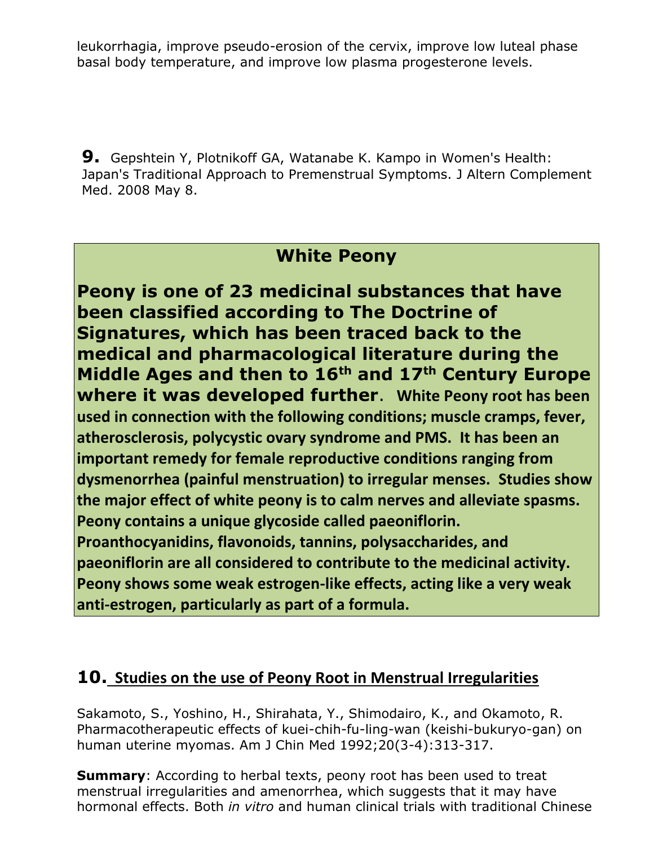leukorrhagia, improve pseudo-erosion of the cervix, improve low luteal phase basal body temperature, and improve low plasma progesterone levels.

**9.** Gepshtein Y, Plotnikoff GA, Watanabe K. Kampo in Women's Health: Japan's Traditional Approach to Premenstrual Symptoms. J Altern Complement Med. 2008 May 8.

# **White Peony**

**Peony is one of 23 medicinal substances that have been classified according to The Doctrine of Signatures, which has been traced back to the medical and pharmacological literature during the Middle Ages and then to 16th and 17th Century Europe where it was developed further**. **White Peony root has been used in connection with the following conditions; muscle cramps, fever, atherosclerosis, polycystic ovary syndrome and PMS. It has been an important remedy for female reproductive conditions ranging from dysmenorrhea (painful menstruation) to irregular menses. Studies show the major effect of white peony is to calm nerves and alleviate spasms. Peony contains a unique glycoside called paeoniflorin. Proanthocyanidins, flavonoids, tannins, polysaccharides, and paeoniflorin are all considered to contribute to the medicinal activity. Peony shows some weak estrogen-like effects, acting like a very weak anti-estrogen, particularly as part of a formula.**

#### **10. Studies on the use of Peony Root in Menstrual Irregularities**

Sakamoto, S., Yoshino, H., Shirahata, Y., Shimodairo, K., and Okamoto, R. Pharmacotherapeutic effects of kuei-chih-fu-ling-wan (keishi-bukuryo-gan) on human uterine myomas. Am J Chin Med 1992;20(3-4):313-317.

**Summary:** According to herbal texts, peony root has been used to treat menstrual irregularities and amenorrhea, which suggests that it may have hormonal effects. Both *in vitro* and human clinical trials with traditional Chinese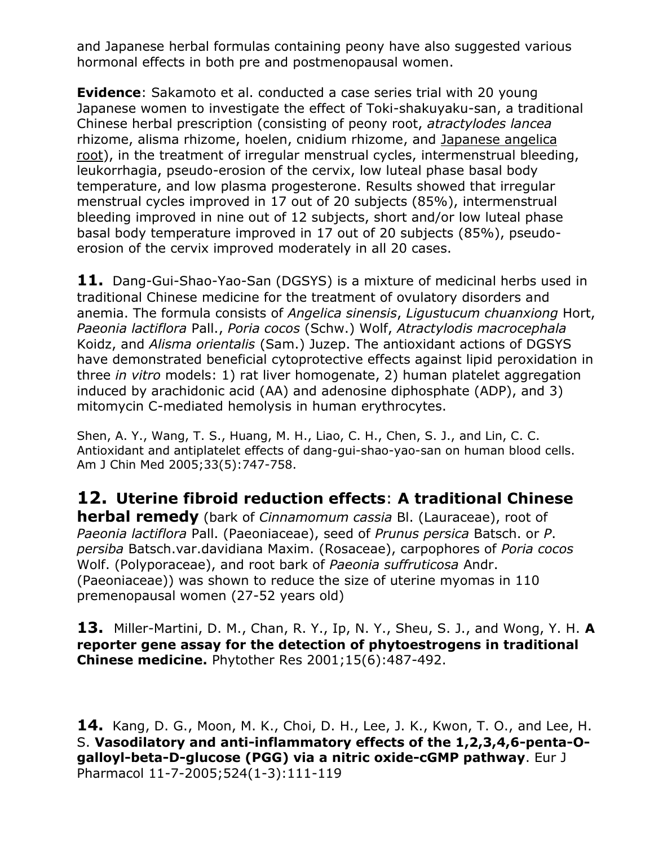and Japanese herbal formulas containing peony have also suggested various hormonal effects in both pre and postmenopausal women.

**Evidence**: Sakamoto et al. conducted a case series trial with 20 young Japanese women to investigate the effect of Toki-shakuyaku-san, a traditional Chinese herbal prescription (consisting of peony root, *atractylodes lancea* rhizome, alisma rhizome, hoelen, cnidium rhizome, and [Japanese angelica](http://www.naturalstandard.com/databases/dongquai)  [root\)](http://www.naturalstandard.com/databases/dongquai), in the treatment of irregular menstrual cycles, intermenstrual bleeding, leukorrhagia, pseudo-erosion of the cervix, low luteal phase basal body temperature, and low plasma progesterone. Results showed that irregular menstrual cycles improved in 17 out of 20 subjects (85%), intermenstrual bleeding improved in nine out of 12 subjects, short and/or low luteal phase basal body temperature improved in 17 out of 20 subjects (85%), pseudoerosion of the cervix improved moderately in all 20 cases.

**11.** Dang-Gui-Shao-Yao-San (DGSYS) is a mixture of medicinal herbs used in traditional Chinese medicine for the treatment of ovulatory disorders and anemia. The formula consists of *Angelica sinensis*, *Ligustucum chuanxiong* Hort, *Paeonia lactiflora* Pall., *Poria cocos* (Schw.) Wolf, *Atractylodis macrocephala* Koidz, and *Alisma orientalis* (Sam.) Juzep. The antioxidant actions of DGSYS have demonstrated beneficial cytoprotective effects against lipid peroxidation in three *in vitro* models: 1) rat liver homogenate, 2) human platelet aggregation induced by arachidonic acid (AA) and adenosine diphosphate (ADP), and 3) mitomycin C-mediated hemolysis in human erythrocytes.

Shen, A. Y., Wang, T. S., Huang, M. H., Liao, C. H., Chen, S. J., and Lin, C. C. Antioxidant and antiplatelet effects of dang-gui-shao-yao-san on human blood cells. Am J Chin Med 2005;33(5):747-758.

## **12. Uterine fibroid reduction effects**: **A traditional Chinese**

**herbal remedy** (bark of *Cinnamomum cassia* Bl. (Lauraceae), root of *Paeonia lactiflora* Pall. (Paeoniaceae), seed of *Prunus persica* Batsch. or *P*. *persiba* Batsch.var.davidiana Maxim. (Rosaceae), carpophores of *Poria cocos* Wolf. (Polyporaceae), and root bark of *Paeonia suffruticosa* Andr. (Paeoniaceae)) was shown to reduce the size of uterine myomas in 110 premenopausal women (27-52 years old)

**13.** Miller-Martini, D. M., Chan, R. Y., Ip, N. Y., Sheu, S. J., and Wong, Y. H. **A reporter gene assay for the detection of phytoestrogens in traditional Chinese medicine.** Phytother Res 2001;15(6):487-492.

**14.** Kang, D. G., Moon, M. K., Choi, D. H., Lee, J. K., Kwon, T. O., and Lee, H. S. **Vasodilatory and anti-inflammatory effects of the 1,2,3,4,6-penta-Ogalloyl-beta-D-glucose (PGG) via a nitric oxide-cGMP pathway**. Eur J Pharmacol 11-7-2005;524(1-3):111-119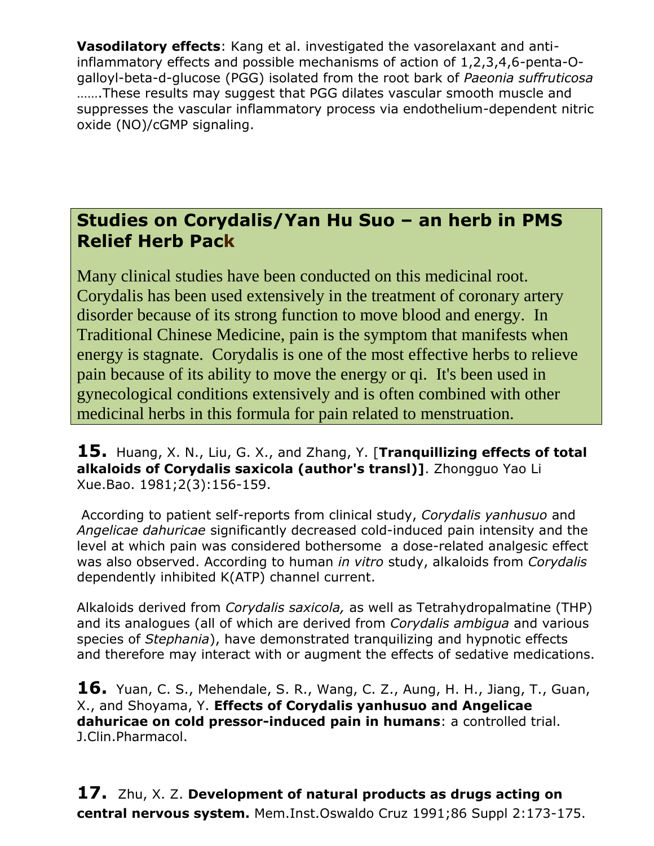**Vasodilatory effects**: Kang et al. investigated the vasorelaxant and antiinflammatory effects and possible mechanisms of action of 1,2,3,4,6-penta-Ogalloyl-beta-d-glucose (PGG) isolated from the root bark of *Paeonia suffruticosa* …….These results may suggest that PGG dilates vascular smooth muscle and suppresses the vascular inflammatory process via endothelium-dependent nitric oxide (NO)/cGMP signaling.

# **Studies on Corydalis/Yan Hu Suo – an herb in PMS Relief Herb Pack**

Many clinical studies have been conducted on this medicinal root. Corydalis has been used extensively in the treatment of coronary artery disorder because of its strong function to move blood and energy. In Traditional Chinese Medicine, pain is the symptom that manifests when energy is stagnate. Corydalis is one of the most effective herbs to relieve pain because of its ability to move the energy or qi. It's been used in gynecological conditions extensively and is often combined with other medicinal herbs in this formula for pain related to menstruation.

**15.** Huang, X. N., Liu, G. X., and Zhang, Y. [**Tranquillizing effects of total alkaloids of Corydalis saxicola (author's transl)]**. Zhongguo Yao Li Xue.Bao. 1981;2(3):156-159.

According to patient self-reports from clinical study, *Corydalis yanhusuo* and *Angelicae dahuricae* significantly decreased cold-induced pain intensity and the level at which pain was considered bothersome a dose-related analgesic effect was also observed. According to human *in vitro* study, alkaloids from *Corydalis* dependently inhibited K(ATP) channel current.

Alkaloids derived from *Corydalis saxicola,* as well as Tetrahydropalmatine (THP) and its analogues (all of which are derived from *Corydalis ambigua* and various species of *Stephania*), have demonstrated tranquilizing and hypnotic effects and therefore may interact with or augment the effects of sedative medications.

**16.** Yuan, C. S., Mehendale, S. R., Wang, C. Z., Aung, H. H., Jiang, T., Guan, X., and Shoyama, Y. **Effects of Corydalis yanhusuo and Angelicae dahuricae on cold pressor-induced pain in humans**: a controlled trial. J.Clin.Pharmacol.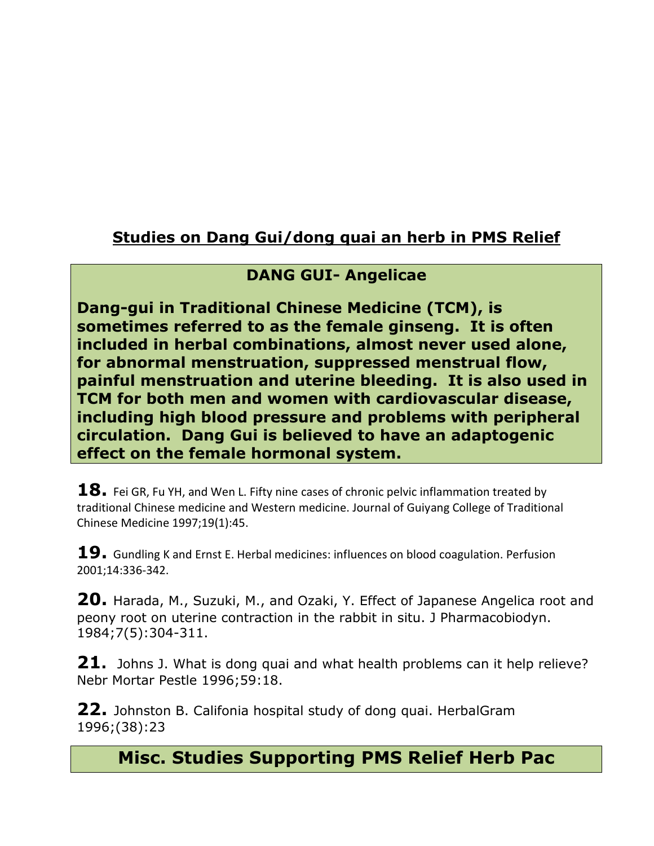# **Studies on Dang Gui/dong quai an herb in PMS Relief**

### **DANG GUI- Angelicae**

**Dang-gui in Traditional Chinese Medicine (TCM), is sometimes referred to as the female ginseng. It is often included in herbal combinations, almost never used alone, for abnormal menstruation, suppressed menstrual flow, painful menstruation and uterine bleeding. It is also used in TCM for both men and women with cardiovascular disease, including high blood pressure and problems with peripheral circulation. Dang Gui is believed to have an adaptogenic effect on the female hormonal system.** 

**18.** Fei GR, Fu YH, and Wen L. Fifty nine cases of chronic pelvic inflammation treated by traditional Chinese medicine and Western medicine. Journal of Guiyang College of Traditional Chinese Medicine 1997;19(1):45.

**19.** Gundling K and Ernst E. Herbal medicines: influences on blood coagulation. Perfusion 2001;14:336-342.

**20.** Harada, M., Suzuki, M., and Ozaki, Y. Effect of Japanese Angelica root and peony root on uterine contraction in the rabbit in situ. J Pharmacobiodyn. 1984;7(5):304-311.

**21.** Johns J. What is dong quai and what health problems can it help relieve? Nebr Mortar Pestle 1996;59:18.

**22.** Johnston B. Califonia hospital study of dong quai. HerbalGram 1996;(38):23

**Misc. Studies Supporting PMS Relief Herb Pac**